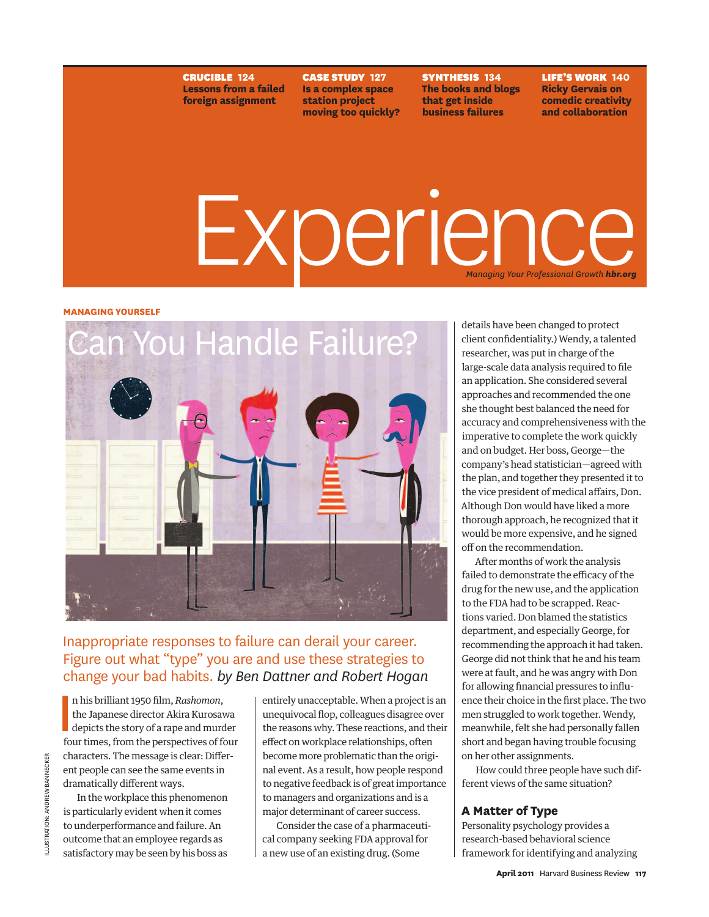CRUCIBLE **124 Lessons from a failed foreign assignment** 

CASE STUDY **127 Is a complex space station project moving too quickly?** 

SYNTHESIS **134 The books and blogs that get inside business failures** 

LIFE'S WORK **140 Ricky Gervais on comedic creativity and collaboration** 

# Experience *Managing Your Professional Growth hbr.org*

### **MANAGING YOURSELF**



Inappropriate responses to failure can derail your career. Figure out what "type" you are and use these strategies to change your bad habits. *by Ben Dattner and Robert Hogan*

n his brilliant 1950 film, *Rashomon*,<br>the Japanese director Akira Kurosawa<br>depicts the story of a rape and murder<br>four times, from the perspectives of four n his brilliant 1950 film, Rashomon, the Japanese director Akira Kurosawa depicts the story of a rape and murder characters. The message is clear: Different people can see the same events in dramatically different ways.

In the workplace this phenomenon is particularly evident when it comes to under performance and failure. An outcome that an employee regards as satisfactory may be seen by his boss as entirely unacceptable. When a project is an unequivocal flop, colleagues disagree over the reasons why. These reactions, and their effect on workplace relationships, often become more problematic than the original event. As a result, how people respond to negative feedback is of great importance to managers and organizations and is a major determinant of career success.

Consider the case of a pharmaceutical company seeking FDA approval for a new use of an existing drug. (Some

details have been changed to protect client confidentiality.) Wendy, a talented researcher, was put in charge of the large-scale data analysis required to file an application. She considered several approaches and recommended the one she thought best balanced the need for accuracy and comprehensiveness with the imperative to complete the work quickly and on budget. Her boss, George—the company's head statistician—agreed with the plan, and together they presented it to the vice president of medical affairs, Don. Although Don would have liked a more thorough approach, he recognized that it would be more expensive, and he signed off on the recommendation.

After months of work the analysis failed to demonstrate the efficacy of the drug for the new use, and the application to the FDA had to be scrapped. Reactions varied. Don blamed the statistics department, and especially George, for recommending the approach it had taken. George did not think that he and his team were at fault, and he was angry with Don for allowing financial pressures to influence their choice in the first place. The two men struggled to work together. Wendy, meanwhile, felt she had personally fallen short and began having trouble focusing on her other assignments.

How could three people have such different views of the same situation?

# **A Matter of Type**

Personality psychology provides a research-based behavioral science framework for identifying and analyzing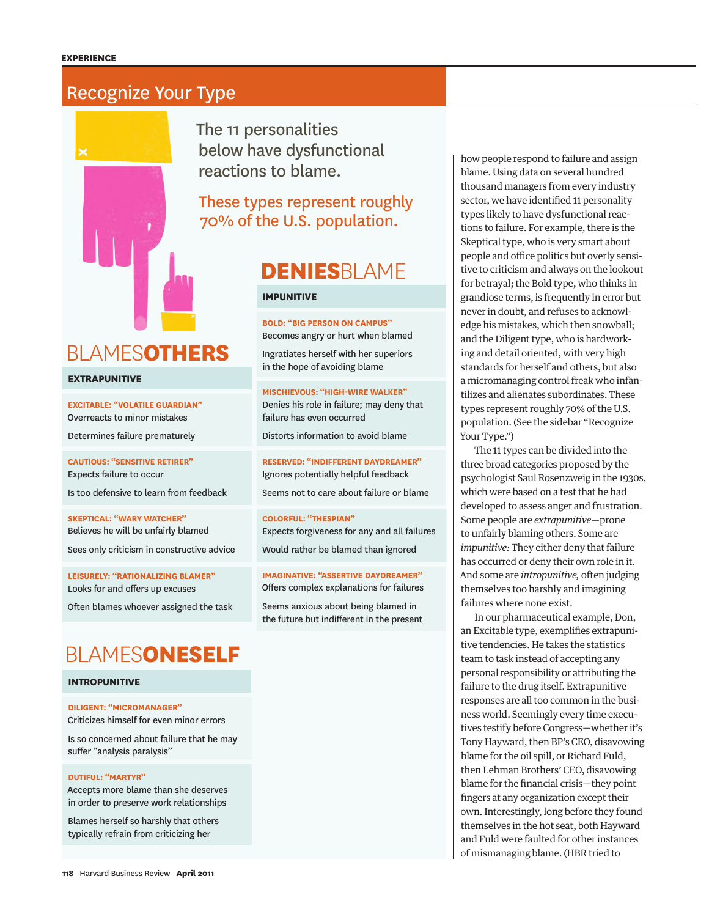# Recognize Your Type

The 11 personalities below have dysfunctional reactions to blame.

These types represent roughly 70% of the U.S. population.

# **DENIES**BLAME

## **IMPUNITIVE**

**BOLD: "BIG PERSON ON CAMPUS"** Becomes angry or hurt when blamed

Ingratiates herself with her superiors in the hope of avoiding blame

**MISCHIEVOUS: "HIGH-WIRE WALKER"**  Denies his role in failure; may deny that failure has even occurred

Distorts information to avoid blame

**RESERVED: "INDIFFERENT DAYDREAMER"** Ignores potentially helpful feedback Seems not to care about failure or blame

# **COLORFUL: "THESPIAN"**

Expects forgiveness for any and all failures Would rather be blamed than ignored

**IMAGINATIVE: "ASSERTIVE DAYDREAMER"**  Offers complex explanations for failures

Seems anxious about being blamed in the future but indifferent in the present how people respond to failure and assign blame. Using data on several hundred thousand managers from every industry sector, we have identified 11 personality types likely to have dysfunctional reactions to failure. For example, there is the Skeptical type, who is very smart about people and office politics but overly sensitive to criticism and always on the lookout for betrayal; the Bold type, who thinks in grandiose terms, is frequently in error but never in doubt, and refuses to acknowledge his mistakes, which then snowball; and the Diligent type, who is hardworking and detail oriented, with very high standards for herself and others, but also a micromanaging control freak who infantilizes and alienates subordinates. These types represent roughly 70% of the U.S. population. (See the sidebar "Recognize Your Type.")

The 11 types can be divided into the three broad categories proposed by the psychologist Saul Rosenzweig in the 1930s, which were based on a test that he had developed to assess anger and frustration. Some people are extrapunitive—prone to unfairly blaming others. Some are impunitive: They either deny that failure has occurred or deny their own role in it. And some are intropunitive, often judging themselves too harshly and imagining failures where none exist.

In our pharmaceutical example, Don, an Excitable type, exemplifies extrapunitive tendencies. He takes the statistics team to task instead of accepting any personal responsibility or attributing the failure to the drug itself. Extrapunitive responses are all too common in the business world. Seemingly every time executives testify before Congress—whether it's Tony Hayward, then BP's CEO, disavowing blame for the oil spill, or Richard Fuld, then Lehman Brothers' CEO, disavowing blame for the financial crisis-they point fingers at any organization except their own. Interestingly, long before they found themselves in the hot seat, both Hayward and Fuld were faulted for other instances of mismanaging blame. (HBR tried to

# BLAMES**OTHERS**

## **EXTRAPUNITIVE**

**EXCITABLE: "VOLATILE GUARDIAN"** Overreacts to minor mistakes

Determines failure prematurely

**CAUTIOUS: "SENSITIVE RETIRER"** Expects failure to occur

Is too defensive to learn from feedback

**SKEPTICAL: "WARY WATCHER"** Believes he will be unfairly blamed

Sees only criticism in constructive advice

**LEISURELY: "RATIONALIZING BLAMER"**  Looks for and offers up excuses Often blames whoever assigned the task

# BLAMES**ONESELF**

### **INTROPUNITIVE**

**DILIGENT: "MICROMANAGER"** Criticizes himself for even minor errors

Is so concerned about failure that he may suffer "analysis paralysis"

### **DUTIFUL: "MARTYR"**

Accepts more blame than she deserves in order to preserve work relationships

Blames herself so harshly that others typically refrain from criticizing her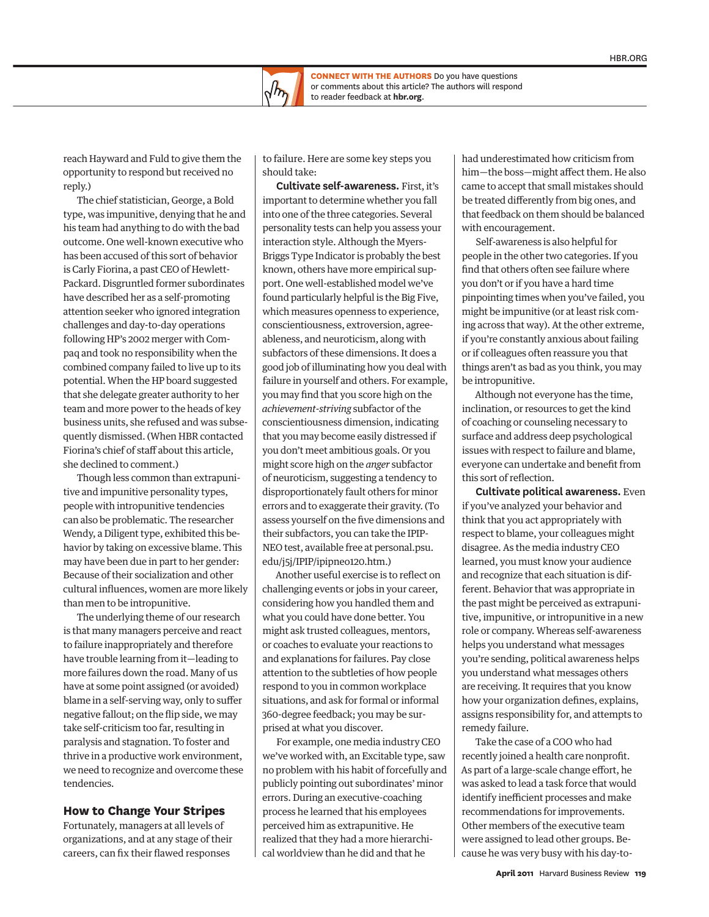

**CONNECT WITH THE AUTHORS** Do you have questions or comments about this article? The authors will respond to reader feedback at **hbr.org**.

reach Hayward and Fuld to give them the opportunity to respond but received no reply.)

The chief statistician, George, a Bold type, was impunitive, denying that he and his team had anything to do with the bad outcome. One well-known executive who has been accused of this sort of behavior is Carly Fiorina, a past CEO of Hewlett-Packard. Disgruntled former subordinates have described her as a self-promoting attention seeker who ignored integration challenges and day-to-day operations following HP's 2002 merger with Compaq and took no responsibility when the combined company failed to live up to its potential. When the HP board suggested that she delegate greater authority to her team and more power to the heads of key business units, she refused and was subsequently dismissed. (When HBR contacted Fiorina's chief of staff about this article, she declined to comment.)

Though less common than extrapunitive and impunitive personality types, people with intropunitive tendencies can also be problematic. The researcher Wendy, a Diligent type, exhibited this behavior by taking on excessive blame. This may have been due in part to her gender: Because of their socialization and other cultural influences, women are more likely than men to be intropunitive.

The underlying theme of our research is that many managers perceive and react to failure inappropriately and therefore have trouble learning from it—leading to more failures down the road. Many of us have at some point assigned (or avoided) blame in a self-serving way, only to suffer negative fallout; on the flip side, we may take self-criticism too far, resulting in paralysis and stagnation. To foster and thrive in a productive work environment, we need to recognize and overcome these tendencies.

# **How to Change Your Stripes**

Fortunately, managers at all levels of organizations, and at any stage of their careers, can fix their flawed responses

to failure. Here are some key steps you should take:

**Cultivate self-awareness.** First, it's important to determine whether you fall into one of the three categories. Several personality tests can help you assess your interaction style. Although the Myers-Briggs Type Indicator is probably the best known, others have more empirical support. One well-established model we've found particularly helpful is the Big Five, which measures openness to experience, conscientiousness, extroversion, agreeableness, and neuroticism, along with subfactors of these dimensions. It does a good job of illuminating how you deal with failure in yourself and others. For example, you may find that you score high on the achievement-striving subfactor of the conscientiousness dimension, indicating that you may become easily distressed if you don't meet ambitious goals. Or you might score high on the anger subfactor of neuroticism, suggesting a tendency to disproportionately fault others for minor errors and to exaggerate their gravity. (To assess yourself on the five dimensions and their subfactors, you can take the IPIP-NEO test, available free at personal.psu. edu/j5j/IPIP/ipipneo120.htm.)

Another useful exercise is to reflect on challenging events or jobs in your career, considering how you handled them and what you could have done better. You might ask trusted colleagues, mentors, or coaches to evaluate your reactions to and explanations for failures. Pay close attention to the subtleties of how people respond to you in common workplace situations, and ask for formal or informal 360-degree feedback; you may be surprised at what you discover.

For example, one media industry CEO we've worked with, an Excitable type, saw no problem with his habit of forcefully and publicly pointing out subordinates' minor errors. During an executive-coaching process he learned that his employees perceived him as extrapunitive. He realized that they had a more hierarchical worldview than he did and that he

had underestimated how criticism from him-the boss-might affect them. He also came to accept that small mistakes should be treated differently from big ones, and that feedback on them should be balanced with encouragement.

Self-awareness is also helpful for people in the other two categories. If you find that others often see failure where you don't or if you have a hard time pinpointing times when you've failed, you might be impunitive (or at least risk coming across that way). At the other extreme, if you're constantly anxious about failing or if colleagues often reassure you that things aren't as bad as you think, you may be intropunitive.

Although not everyone has the time, inclination, or resources to get the kind of coaching or counseling necessary to surface and address deep psychological issues with respect to failure and blame, everyone can undertake and benefit from this sort of reflection.

**Cultivate political awareness.** Even if you've analyzed your behavior and think that you act appropriately with respect to blame, your colleagues might disagree. As the media industry CEO learned, you must know your audience and recognize that each situation is different. Behavior that was appropriate in the past might be perceived as extrapunitive, impunitive, or intropunitive in a new role or company. Whereas self-awareness helps you understand what messages you're sending, political awareness helps you understand what messages others are receiving. It requires that you know how your organization defines, explains, assigns responsibility for, and attempts to remedy failure.

Take the case of a COO who had recently joined a health care nonprofit. As part of a large-scale change effort, he was asked to lead a task force that would identify inefficient processes and make recommendations for improvements. Other members of the executive team were assigned to lead other groups. Because he was very busy with his day-to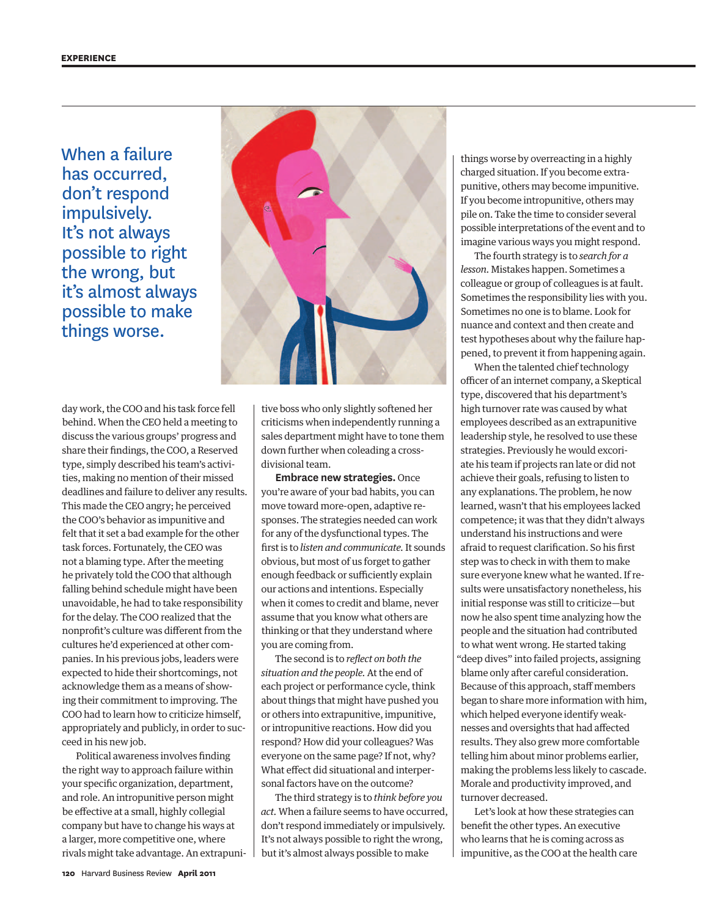When a failure has occurred, don't respond impulsively. It's not always possible to right the wrong, but it's almost always possible to make things worse.

day work, the COO and his task force fell behind. When the CEO held a meeting to discuss the various groups' progress and share their findings, the COO, a Reserved type, simply described his team's activities, making no mention of their missed deadlines and failure to deliver any results. This made the CEO angry; he perceived the COO's behavior as impunitive and felt that it set a bad example for the other task forces. Fortunately, the CEO was not a blaming type. After the meeting he privately told the COO that although falling behind schedule might have been unavoidable, he had to take responsibility for the delay. The COO realized that the nonprofit's culture was different from the cultures he'd experienced at other companies. In his previous jobs, leaders were expected to hide their shortcomings, not acknowledge them as a means of showing their commitment to improving. The COO had to learn how to criticize himself, appropriately and publicly, in order to succeed in his new job.

Political awareness involves finding the right way to approach failure within your specific organization, department, and role. An intropunitive person might be effective at a small, highly collegial company but have to change his ways at a larger, more competitive one, where rivals might take advantage. An extrapuni-



tive boss who only slightly softened her criticisms when independently running a sales department might have to tone them down further when coleading a crossdivisional team.

**Embrace new strategies.** Once you're aware of your bad habits, you can move toward more-open, adaptive responses. The strategies needed can work for any of the dysfunctional types. The first is to listen and communicate. It sounds obvious, but most of us forget to gather enough feedback or sufficiently explain our actions and intentions. Especially when it comes to credit and blame, never assume that you know what others are thinking or that they understand where you are coming from.

The second is to reflect on both the situation and the people. At the end of each project or performance cycle, think about things that might have pushed you or others into extrapunitive, impunitive, or intropunitive reactions. How did you respond? How did your colleagues? Was everyone on the same page? If not, why? What effect did situational and interpersonal factors have on the outcome?

The third strategy is to think before you act.When a failure seems to have occurred, don't respond immediately or impulsively. It's not always possible to right the wrong, but it's almost always possible to make

things worse by overreacting in a highly charged situation. If you become extrapunitive, others may become impunitive. If you become intropunitive, others may pile on. Take the time to consider several possible interpretations of the event and to imagine various ways you might respond.

The fourth strategy is to search for a lesson. Mistakes happen. Sometimes a colleague or group of colleagues is at fault. Sometimes the responsibility lies with you. Sometimes no one is to blame. Look for nuance and context and then create and test hypotheses about why the failure happened, to prevent it from happening again.

When the talented chief technology officer of an internet company, a Skeptical type, discovered that his department's high turnover rate was caused by what employees described as an extrapunitive leadership style, he resolved to use these strategies. Previously he would excoriate his team if projects ran late or did not achieve their goals, refusing to listen to any explanations. The problem, he now learned, wasn't that his employees lacked competence; it was that they didn't always understand his instructions and were afraid to request clarification. So his first step was to check in with them to make sure everyone knew what he wanted. If results were unsatisfactory nonetheless, his initial response was still to criticize—but now he also spent time analyzing how the people and the situation had contributed to what went wrong. He started taking "deep dives" into failed projects, assigning blame only after careful consideration. Because of this approach, staff members began to share more information with him, which helped everyone identify weaknesses and oversights that had affected results. They also grew more comfortable telling him about minor problems earlier, making the problems less likely to cascade. Morale and productivity improved, and turnover decreased.

Let's look at how these strategies can benefit the other types. An executive who learns that he is coming across as impunitive, as the COO at the health care